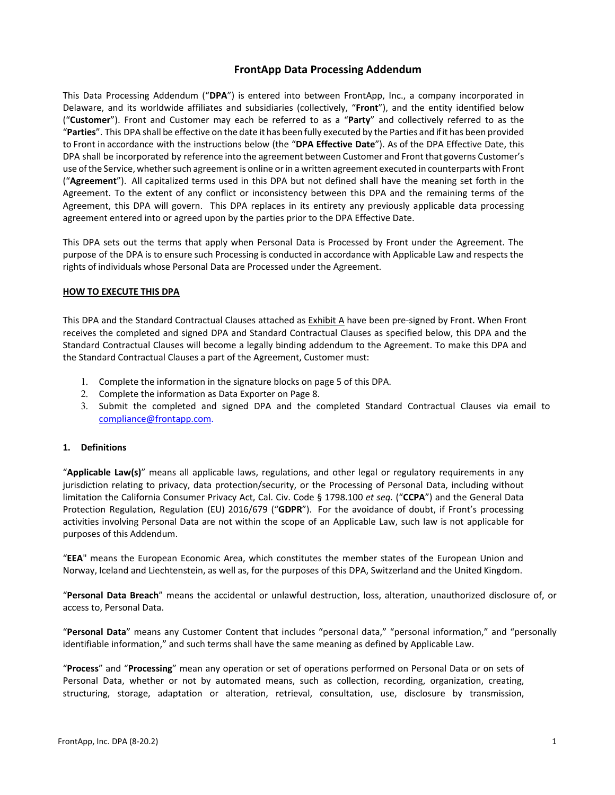# **FrontApp Data Processing Addendum**

This Data Processing Addendum ("**DPA**") is entered into between FrontApp, Inc., a company incorporated in Delaware, and its worldwide affiliates and subsidiaries (collectively, "**Front**"), and the entity identified below ("**Customer**"). Front and Customer may each be referred to as a "**Party**" and collectively referred to as the "**Parties**". This DPA shall be effective on the date it has been fully executed by the Parties and if it has been provided to Front in accordance with the instructions below (the "**DPA Effective Date**"). As of the DPA Effective Date, this DPA shall be incorporated by reference into the agreement between Customer and Front that governs Customer's use of the Service, whether such agreement is online or in a written agreement executed in counterparts with Front ("**Agreement**"). All capitalized terms used in this DPA but not defined shall have the meaning set forth in the Agreement. To the extent of any conflict or inconsistency between this DPA and the remaining terms of the Agreement, this DPA will govern. This DPA replaces in its entirety any previously applicable data processing agreement entered into or agreed upon by the parties prior to the DPA Effective Date.

This DPA sets out the terms that apply when Personal Data is Processed by Front under the Agreement. The purpose of the DPA is to ensure such Processing is conducted in accordance with Applicable Law and respects the rights of individuals whose Personal Data are Processed under the Agreement.

### **HOW TO EXECUTE THIS DPA**

This DPA and the Standard Contractual Clauses attached as Exhibit A have been pre-signed by Front. When Front receives the completed and signed DPA and Standard Contractual Clauses as specified below, this DPA and the Standard Contractual Clauses will become a legally binding addendum to the Agreement. To make this DPA and the Standard Contractual Clauses a part of the Agreement, Customer must:

- 1. Complete the information in the signature blocks on page 5 of this DPA.
- 2. Complete the information as Data Exporter on Page 8.
- 3. Submit the completed and signed DPA and the completed Standard Contractual Clauses via email to compliance@frontapp.com.

### **1. Definitions**

"**Applicable Law(s)**" means all applicable laws, regulations, and other legal or regulatory requirements in any jurisdiction relating to privacy, data protection/security, or the Processing of Personal Data, including without limitation the California Consumer Privacy Act, Cal. Civ. Code § 1798.100 *et seq.* ("**CCPA**") and the General Data Protection Regulation, Regulation (EU) 2016/679 ("**GDPR**"). For the avoidance of doubt, if Front's processing activities involving Personal Data are not within the scope of an Applicable Law, such law is not applicable for purposes of this Addendum.

"**EEA**" means the European Economic Area, which constitutes the member states of the European Union and Norway, Iceland and Liechtenstein, as well as, for the purposes of this DPA, Switzerland and the United Kingdom.

"**Personal Data Breach**" means the accidental or unlawful destruction, loss, alteration, unauthorized disclosure of, or access to, Personal Data.

"**Personal Data**" means any Customer Content that includes "personal data," "personal information," and "personally identifiable information," and such terms shall have the same meaning as defined by Applicable Law.

"**Process**" and "**Processing**" mean any operation or set of operations performed on Personal Data or on sets of Personal Data, whether or not by automated means, such as collection, recording, organization, creating, structuring, storage, adaptation or alteration, retrieval, consultation, use, disclosure by transmission,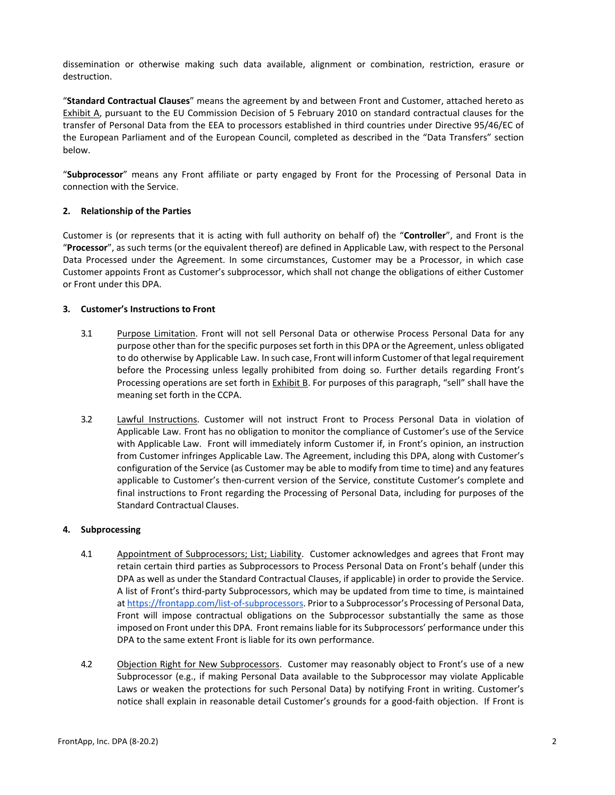dissemination or otherwise making such data available, alignment or combination, restriction, erasure or destruction.

"**Standard Contractual Clauses**" means the agreement by and between Front and Customer, attached hereto as Exhibit A, pursuant to the EU Commission Decision of 5 February 2010 on standard contractual clauses for the transfer of Personal Data from the EEA to processors established in third countries under Directive 95/46/EC of the European Parliament and of the European Council, completed as described in the "Data Transfers" section below.

"**Subprocessor**" means any Front affiliate or party engaged by Front for the Processing of Personal Data in connection with the Service.

### **2. Relationship of the Parties**

Customer is (or represents that it is acting with full authority on behalf of) the "**Controller**", and Front is the "**Processor**", as such terms (or the equivalent thereof) are defined in Applicable Law, with respect to the Personal Data Processed under the Agreement. In some circumstances, Customer may be a Processor, in which case Customer appoints Front as Customer's subprocessor, which shall not change the obligations of either Customer or Front under this DPA.

### **3. Customer's Instructions to Front**

- 3.1 Purpose Limitation. Front will not sell Personal Data or otherwise Process Personal Data for any purpose other than for the specific purposes set forth in this DPA or the Agreement, unless obligated to do otherwise by Applicable Law. In such case, Front will inform Customer of that legal requirement before the Processing unless legally prohibited from doing so. Further details regarding Front's Processing operations are set forth in Exhibit B. For purposes of this paragraph, "sell" shall have the meaning set forth in the CCPA.
- 3.2 Lawful Instructions. Customer will not instruct Front to Process Personal Data in violation of Applicable Law. Front has no obligation to monitor the compliance of Customer's use of the Service with Applicable Law. Front will immediately inform Customer if, in Front's opinion, an instruction from Customer infringes Applicable Law. The Agreement, including this DPA, along with Customer's configuration of the Service (as Customer may be able to modify from time to time) and any features applicable to Customer's then-current version of the Service, constitute Customer's complete and final instructions to Front regarding the Processing of Personal Data, including for purposes of the Standard Contractual Clauses.

### **4. Subprocessing**

- 4.1 Appointment of Subprocessors; List; Liability. Customer acknowledges and agrees that Front may retain certain third parties as Subprocessors to Process Personal Data on Front's behalf (under this DPA as well as under the Standard Contractual Clauses, if applicable) in order to provide the Service. A list of Front's third-party Subprocessors, which may be updated from time to time, is maintained at <https://frontapp.com/list-of-subprocessors>. Prior to a Subprocessor's Processing of Personal Data, Front will impose contractual obligations on the Subprocessor substantially the same as those imposed on Front under this DPA. Front remains liable for its Subprocessors' performance under this DPA to the same extent Front is liable for its own performance.
- 4.2 Objection Right for New Subprocessors. Customer may reasonably object to Front's use of a new Subprocessor (e.g., if making Personal Data available to the Subprocessor may violate Applicable Laws or weaken the protections for such Personal Data) by notifying Front in writing. Customer's notice shall explain in reasonable detail Customer's grounds for a good-faith objection. If Front is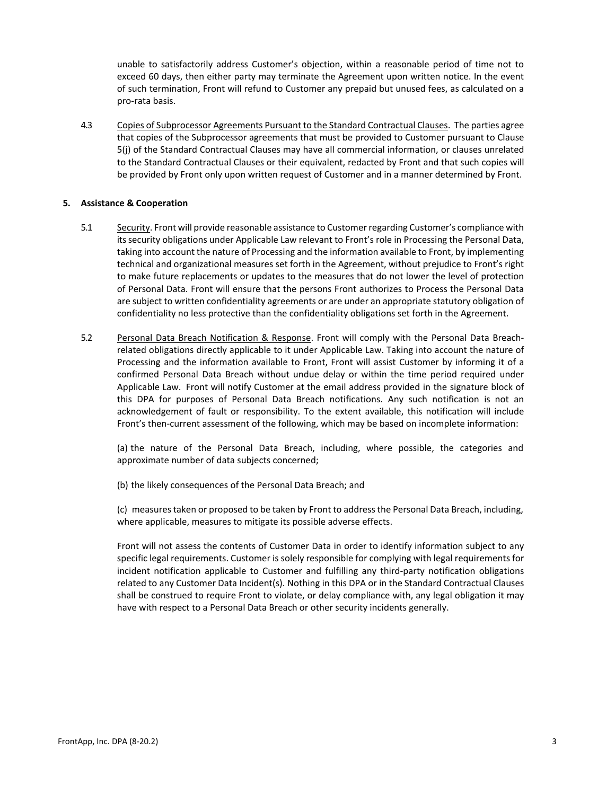unable to satisfactorily address Customer's objection, within a reasonable period of time not to exceed 60 days, then either party may terminate the Agreement upon written notice. In the event of such termination, Front will refund to Customer any prepaid but unused fees, as calculated on a pro-rata basis.

4.3 Copies of Subprocessor Agreements Pursuant to the Standard Contractual Clauses. The parties agree that copies of the Subprocessor agreements that must be provided to Customer pursuant to Clause 5(j) of the Standard Contractual Clauses may have all commercial information, or clauses unrelated to the Standard Contractual Clauses or their equivalent, redacted by Front and that such copies will be provided by Front only upon written request of Customer and in a manner determined by Front.

### **5. Assistance & Cooperation**

- 5.1 Security. Front will provide reasonable assistance to Customer regarding Customer's compliance with its security obligations under Applicable Law relevant to Front's role in Processing the Personal Data, taking into account the nature of Processing and the information available to Front, by implementing technical and organizational measures set forth in the Agreement, without prejudice to Front's right to make future replacements or updates to the measures that do not lower the level of protection of Personal Data. Front will ensure that the persons Front authorizes to Process the Personal Data are subject to written confidentiality agreements or are under an appropriate statutory obligation of confidentiality no less protective than the confidentiality obligations set forth in the Agreement.
- 5.2 Personal Data Breach Notification & Response. Front will comply with the Personal Data Breachrelated obligations directly applicable to it under Applicable Law. Taking into account the nature of Processing and the information available to Front, Front will assist Customer by informing it of a confirmed Personal Data Breach without undue delay or within the time period required under Applicable Law. Front will notify Customer at the email address provided in the signature block of this DPA for purposes of Personal Data Breach notifications. Any such notification is not an acknowledgement of fault or responsibility. To the extent available, this notification will include Front's then-current assessment of the following, which may be based on incomplete information:

(a) the nature of the Personal Data Breach, including, where possible, the categories and approximate number of data subjects concerned;

(b) the likely consequences of the Personal Data Breach; and

(c) measures taken or proposed to be taken by Front to address the Personal Data Breach, including, where applicable, measures to mitigate its possible adverse effects.

Front will not assess the contents of Customer Data in order to identify information subject to any specific legal requirements. Customer is solely responsible for complying with legal requirements for incident notification applicable to Customer and fulfilling any third-party notification obligations related to any Customer Data Incident(s). Nothing in this DPA or in the Standard Contractual Clauses shall be construed to require Front to violate, or delay compliance with, any legal obligation it may have with respect to a Personal Data Breach or other security incidents generally.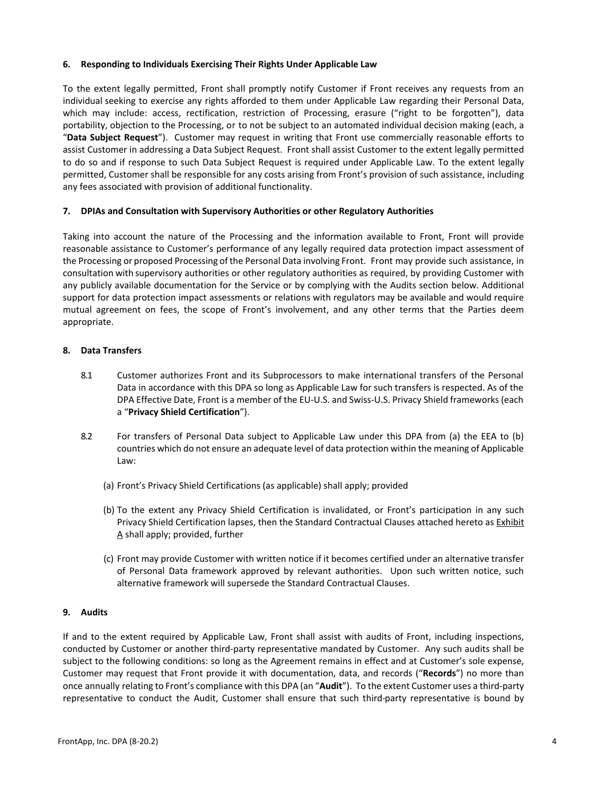### **6. Responding to Individuals Exercising Their Rights Under Applicable Law**

To the extent legally permitted, Front shall promptly notify Customer if Front receives any requests from an individual seeking to exercise any rights afforded to them under Applicable Law regarding their Personal Data, which may include: access, rectification, restriction of Processing, erasure ("right to be forgotten"), data portability, objection to the Processing, or to not be subject to an automated individual decision making (each, a "**Data Subject Request**"). Customer may request in writing that Front use commercially reasonable efforts to assist Customer in addressing a Data Subject Request. Front shall assist Customer to the extent legally permitted to do so and if response to such Data Subject Request is required under Applicable Law. To the extent legally permitted, Customer shall be responsible for any costs arising from Front's provision of such assistance, including any fees associated with provision of additional functionality.

### **7. DPIAs and Consultation with Supervisory Authorities or other Regulatory Authorities**

Taking into account the nature of the Processing and the information available to Front, Front will provide reasonable assistance to Customer's performance of any legally required data protection impact assessment of the Processing or proposed Processing of the Personal Data involving Front. Front may provide such assistance, in consultation with supervisory authorities or other regulatory authorities as required, by providing Customer with any publicly available documentation for the Service or by complying with the Audits section below. Additional support for data protection impact assessments or relations with regulators may be available and would require mutual agreement on fees, the scope of Front's involvement, and any other terms that the Parties deem appropriate.

### **8. Data Transfers**

- 8.1 Customer authorizes Front and its Subprocessors to make international transfers of the Personal Data in accordance with this DPA so long as Applicable Law for such transfers is respected. As of the DPA Effective Date, Front is a member of the EU-U.S. and Swiss-U.S. Privacy Shield frameworks (each a "**Privacy Shield Certification**").
- 8.2 For transfers of Personal Data subject to Applicable Law under this DPA from (a) the EEA to (b) countries which do not ensure an adequate level of data protection within the meaning of Applicable Law:
	- (a) Front's Privacy Shield Certifications (as applicable) shall apply; provided
	- (b) To the extent any Privacy Shield Certification is invalidated, or Front's participation in any such Privacy Shield Certification lapses, then the Standard Contractual Clauses attached hereto as Exhibit A shall apply; provided, further
	- (c) Front may provide Customer with written notice if it becomes certified under an alternative transfer of Personal Data framework approved by relevant authorities. Upon such written notice, such alternative framework will supersede the Standard Contractual Clauses.

### **9. Audits**

If and to the extent required by Applicable Law, Front shall assist with audits of Front, including inspections, conducted by Customer or another third-party representative mandated by Customer. Any such audits shall be subject to the following conditions: so long as the Agreement remains in effect and at Customer's sole expense, Customer may request that Front provide it with documentation, data, and records ("**Records**") no more than once annually relating to Front's compliance with this DPA (an "**Audit**"). To the extent Customer uses a third-party representative to conduct the Audit, Customer shall ensure that such third-party representative is bound by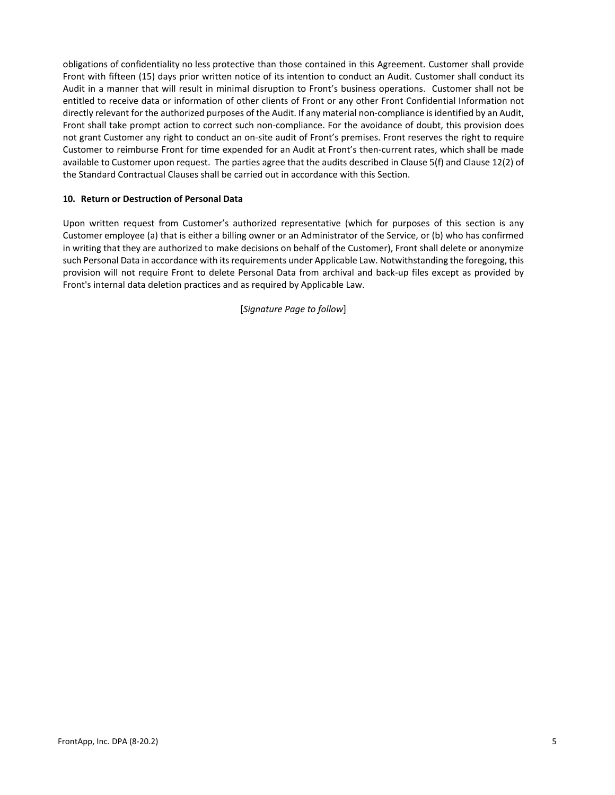obligations of confidentiality no less protective than those contained in this Agreement. Customer shall provide Front with fifteen (15) days prior written notice of its intention to conduct an Audit. Customer shall conduct its Audit in a manner that will result in minimal disruption to Front's business operations. Customer shall not be entitled to receive data or information of other clients of Front or any other Front Confidential Information not directly relevant for the authorized purposes of the Audit. If any material non-compliance is identified by an Audit, Front shall take prompt action to correct such non-compliance. For the avoidance of doubt, this provision does not grant Customer any right to conduct an on-site audit of Front's premises. Front reserves the right to require Customer to reimburse Front for time expended for an Audit at Front's then-current rates, which shall be made available to Customer upon request. The parties agree that the audits described in Clause 5(f) and Clause 12(2) of the Standard Contractual Clauses shall be carried out in accordance with this Section.

# **10. Return or Destruction of Personal Data**

Upon written request from Customer's authorized representative (which for purposes of this section is any Customer employee (a) that is either a billing owner or an Administrator of the Service, or (b) who has confirmed in writing that they are authorized to make decisions on behalf of the Customer), Front shall delete or anonymize such Personal Data in accordance with its requirements under Applicable Law. Notwithstanding the foregoing, this provision will not require Front to delete Personal Data from archival and back-up files except as provided by Front's internal data deletion practices and as required by Applicable Law.

[*Signature Page to follow*]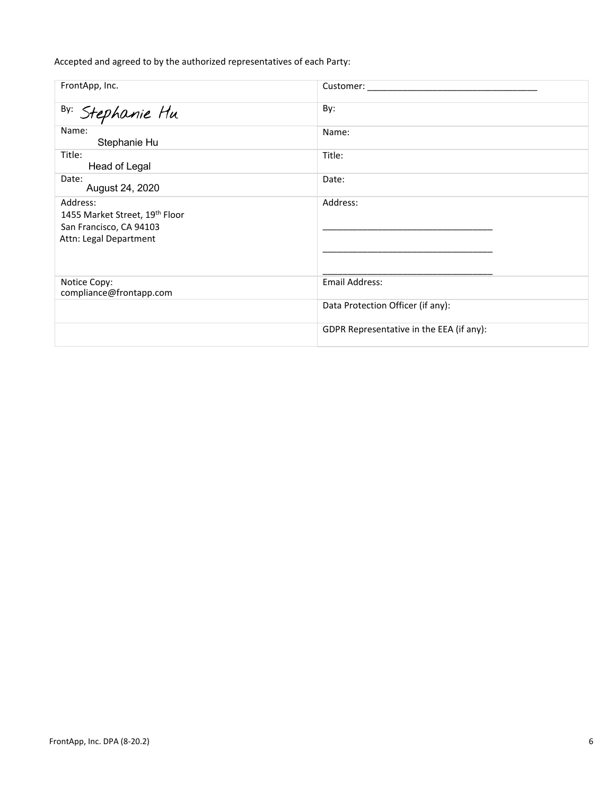Accepted and agreed to by the authorized representatives of each Party:

| FrontApp, Inc.                                                                                  | Customer:                                |
|-------------------------------------------------------------------------------------------------|------------------------------------------|
| By: Stephanie Hu                                                                                | By:                                      |
| Name:<br>Stephanie Hu                                                                           | Name:                                    |
| Title:<br>Head of Legal                                                                         | Title:                                   |
| Date:<br>August 24, 2020                                                                        | Date:                                    |
| Address:<br>1455 Market Street, 19th Floor<br>San Francisco, CA 94103<br>Attn: Legal Department | Address:                                 |
| Notice Copy:<br>compliance@frontapp.com                                                         | <b>Email Address:</b>                    |
|                                                                                                 | Data Protection Officer (if any):        |
|                                                                                                 | GDPR Representative in the EEA (if any): |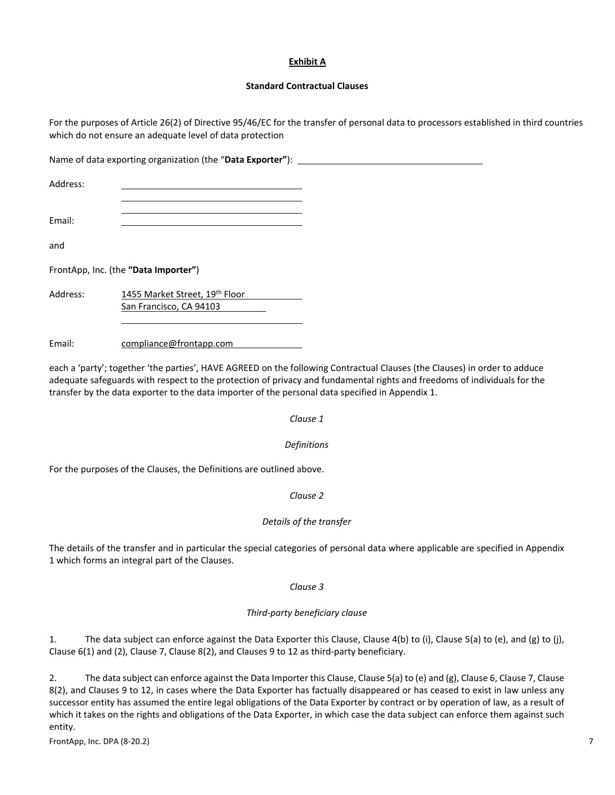# **Exhibit A**

### **Standard Contractual Clauses**

For the purposes of Article 26(2) of Directive 95/46/EC for the transfer of personal data to processors established in third countries which do not ensure an adequate level of data protection

Name of data exporting organization (the "**Data Exporter"**):

Address:

Email:

and

FrontApp, Inc. (the **"Data Importer"**)

Address: 1455 Market Street, 19<sup>th</sup> Floor San Francisco, CA 94103

Email: compliance@frontapp.com

each a 'party'; together 'the parties', HAVE AGREED on the following Contractual Clauses (the Clauses) in order to adduce adequate safeguards with respect to the protection of privacy and fundamental rights and freedoms of individuals for the transfer by the data exporter to the data importer of the personal data specified in Appendix 1.

*Clause 1*

# *Definitions*

For the purposes of the Clauses, the Definitions are outlined above.

# *Clause 2*

# *Details of the transfer*

The details of the transfer and in particular the special categories of personal data where applicable are specified in Appendix 1 which forms an integral part of the Clauses.

### *Clause 3*

# *Third-party beneficiary clause*

1. The data subject can enforce against the Data Exporter this Clause, Clause 4(b) to (i), Clause 5(a) to (e), and (g) to (j), Clause 6(1) and (2), Clause 7, Clause 8(2), and Clauses 9 to 12 as third-party beneficiary.

2. The data subject can enforce against the Data Importer this Clause, Clause 5(a) to (e) and (g), Clause 6, Clause 7, Clause 8(2), and Clauses 9 to 12, in cases where the Data Exporter has factually disappeared or has ceased to exist in law unless any successor entity has assumed the entire legal obligations of the Data Exporter by contract or by operation of law, as a result of which it takes on the rights and obligations of the Data Exporter, in which case the data subject can enforce them against such entity.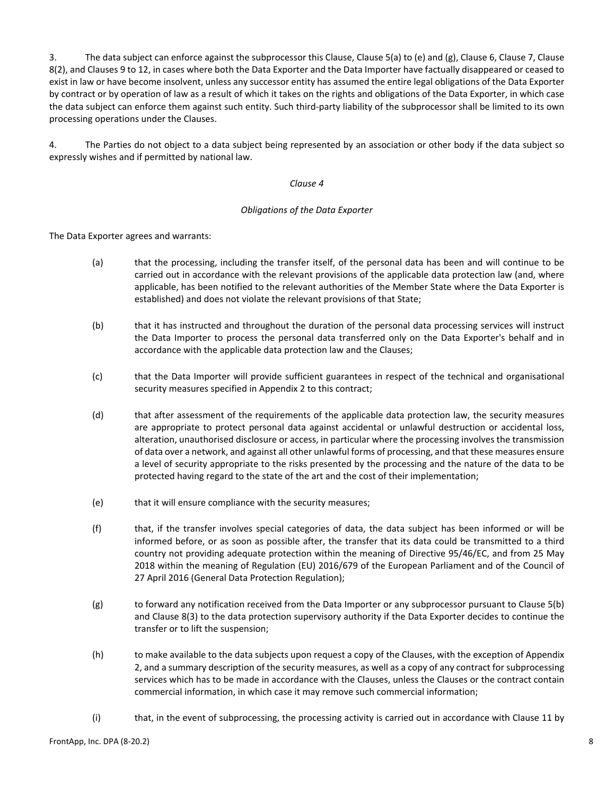3. The data subject can enforce against the subprocessor this Clause, Clause 5(a) to (e) and (g), Clause 6, Clause 7, Clause 8(2), and Clauses 9 to 12, in cases where both the Data Exporter and the Data Importer have factually disappeared or ceased to exist in law or have become insolvent, unless any successor entity has assumed the entire legal obligations of the Data Exporter by contract or by operation of law as a result of which it takes on the rights and obligations of the Data Exporter, in which case the data subject can enforce them against such entity. Such third-party liability of the subprocessor shall be limited to its own processing operations under the Clauses.

4. The Parties do not object to a data subject being represented by an association or other body if the data subject so expressly wishes and if permitted by national law.

### *Clause 4*

# *Obligations of the Data Exporter*

The Data Exporter agrees and warrants:

- (a) that the processing, including the transfer itself, of the personal data has been and will continue to be carried out in accordance with the relevant provisions of the applicable data protection law (and, where applicable, has been notified to the relevant authorities of the Member State where the Data Exporter is established) and does not violate the relevant provisions of that State;
- (b) that it has instructed and throughout the duration of the personal data processing services will instruct the Data Importer to process the personal data transferred only on the Data Exporter's behalf and in accordance with the applicable data protection law and the Clauses;
- (c) that the Data Importer will provide sufficient guarantees in respect of the technical and organisational security measures specified in Appendix 2 to this contract;
- (d) that after assessment of the requirements of the applicable data protection law, the security measures are appropriate to protect personal data against accidental or unlawful destruction or accidental loss, alteration, unauthorised disclosure or access, in particular where the processing involves the transmission of data over a network, and against all other unlawful forms of processing, and that these measures ensure a level of security appropriate to the risks presented by the processing and the nature of the data to be protected having regard to the state of the art and the cost of their implementation;
- (e) that it will ensure compliance with the security measures;
- (f) that, if the transfer involves special categories of data, the data subject has been informed or will be informed before, or as soon as possible after, the transfer that its data could be transmitted to a third country not providing adequate protection within the meaning of Directive 95/46/EC, and from 25 May 2018 within the meaning of Regulation (EU) 2016/679 of the European Parliament and of the Council of 27 April 2016 (General Data Protection Regulation);
- (g) to forward any notification received from the Data Importer or any subprocessor pursuant to Clause 5(b) and Clause 8(3) to the data protection supervisory authority if the Data Exporter decides to continue the transfer or to lift the suspension;
- (h) to make available to the data subjects upon request a copy of the Clauses, with the exception of Appendix 2, and a summary description of the security measures, as well as a copy of any contract for subprocessing services which has to be made in accordance with the Clauses, unless the Clauses or the contract contain commercial information, in which case it may remove such commercial information;
- (i) that, in the event of subprocessing, the processing activity is carried out in accordance with Clause 11 by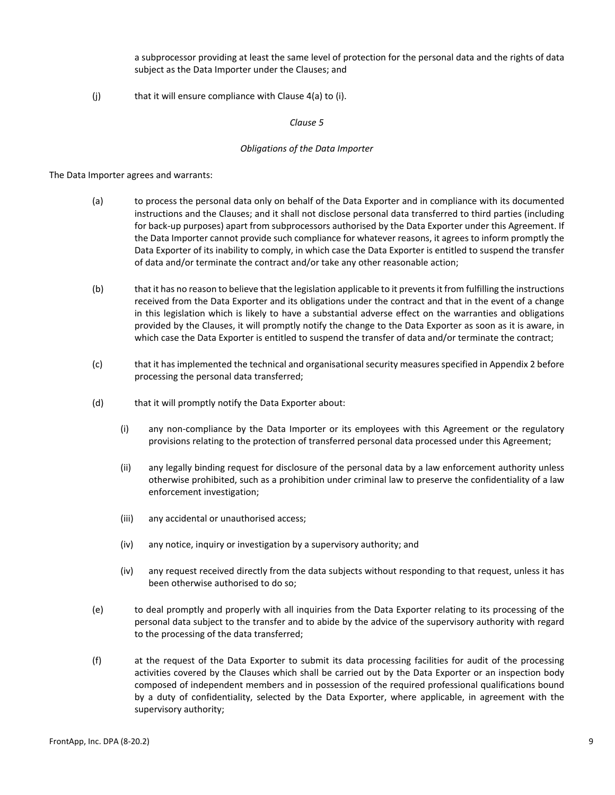a subprocessor providing at least the same level of protection for the personal data and the rights of data subject as the Data Importer under the Clauses; and

 $(j)$  that it will ensure compliance with Clause  $4(a)$  to  $(i)$ .

### *Clause 5*

### *Obligations of the Data Importer*

### The Data Importer agrees and warrants:

- (a) to process the personal data only on behalf of the Data Exporter and in compliance with its documented instructions and the Clauses; and it shall not disclose personal data transferred to third parties (including for back-up purposes) apart from subprocessors authorised by the Data Exporter under this Agreement. If the Data Importer cannot provide such compliance for whatever reasons, it agrees to inform promptly the Data Exporter of its inability to comply, in which case the Data Exporter is entitled to suspend the transfer of data and/or terminate the contract and/or take any other reasonable action;
- (b) that it has no reason to believe that the legislation applicable to it prevents it from fulfilling the instructions received from the Data Exporter and its obligations under the contract and that in the event of a change in this legislation which is likely to have a substantial adverse effect on the warranties and obligations provided by the Clauses, it will promptly notify the change to the Data Exporter as soon as it is aware, in which case the Data Exporter is entitled to suspend the transfer of data and/or terminate the contract;
- (c) that it has implemented the technical and organisational security measures specified in Appendix 2 before processing the personal data transferred;
- (d) that it will promptly notify the Data Exporter about:
	- (i) any non-compliance by the Data Importer or its employees with this Agreement or the regulatory provisions relating to the protection of transferred personal data processed under this Agreement;
	- (ii) any legally binding request for disclosure of the personal data by a law enforcement authority unless otherwise prohibited, such as a prohibition under criminal law to preserve the confidentiality of a law enforcement investigation;
	- (iii) any accidental or unauthorised access;
	- (iv) any notice, inquiry or investigation by a supervisory authority; and
	- (iv) any request received directly from the data subjects without responding to that request, unless it has been otherwise authorised to do so;
- (e) to deal promptly and properly with all inquiries from the Data Exporter relating to its processing of the personal data subject to the transfer and to abide by the advice of the supervisory authority with regard to the processing of the data transferred;
- (f) at the request of the Data Exporter to submit its data processing facilities for audit of the processing activities covered by the Clauses which shall be carried out by the Data Exporter or an inspection body composed of independent members and in possession of the required professional qualifications bound by a duty of confidentiality, selected by the Data Exporter, where applicable, in agreement with the supervisory authority;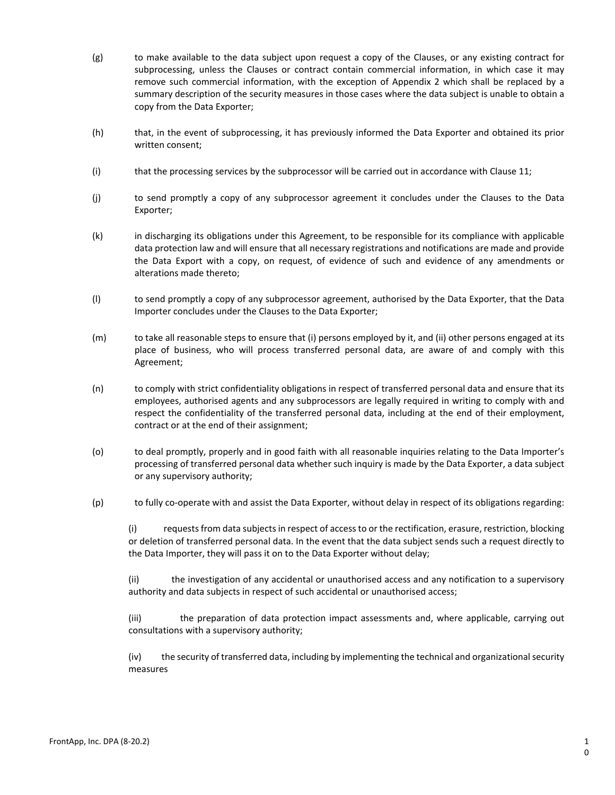- (g) to make available to the data subject upon request a copy of the Clauses, or any existing contract for subprocessing, unless the Clauses or contract contain commercial information, in which case it may remove such commercial information, with the exception of Appendix 2 which shall be replaced by a summary description of the security measures in those cases where the data subject is unable to obtain a copy from the Data Exporter;
- (h) that, in the event of subprocessing, it has previously informed the Data Exporter and obtained its prior written consent;
- (i) that the processing services by the subprocessor will be carried out in accordance with Clause 11;
- (j) to send promptly a copy of any subprocessor agreement it concludes under the Clauses to the Data Exporter;
- (k) in discharging its obligations under this Agreement, to be responsible for its compliance with applicable data protection law and will ensure that all necessary registrations and notifications are made and provide the Data Export with a copy, on request, of evidence of such and evidence of any amendments or alterations made thereto;
- (l) to send promptly a copy of any subprocessor agreement, authorised by the Data Exporter, that the Data Importer concludes under the Clauses to the Data Exporter;
- (m) to take all reasonable steps to ensure that (i) persons employed by it, and (ii) other persons engaged at its place of business, who will process transferred personal data, are aware of and comply with this Agreement;
- (n) to comply with strict confidentiality obligations in respect of transferred personal data and ensure that its employees, authorised agents and any subprocessors are legally required in writing to comply with and respect the confidentiality of the transferred personal data, including at the end of their employment, contract or at the end of their assignment;
- (o) to deal promptly, properly and in good faith with all reasonable inquiries relating to the Data Importer's processing of transferred personal data whether such inquiry is made by the Data Exporter, a data subject or any supervisory authority;
- (p) to fully co-operate with and assist the Data Exporter, without delay in respect of its obligations regarding:

(i) requests from data subjects in respect of access to or the rectification, erasure, restriction, blocking or deletion of transferred personal data. In the event that the data subject sends such a request directly to the Data Importer, they will pass it on to the Data Exporter without delay;

(ii) the investigation of any accidental or unauthorised access and any notification to a supervisory authority and data subjects in respect of such accidental or unauthorised access;

(iii) the preparation of data protection impact assessments and, where applicable, carrying out consultations with a supervisory authority;

(iv) the security of transferred data, including by implementing the technical and organizational security measures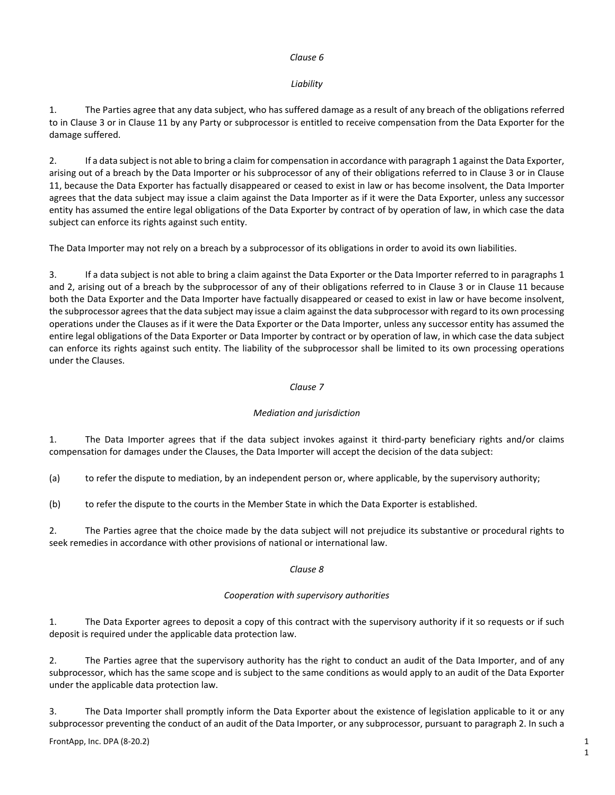### *Clause 6*

# *Liability*

1. The Parties agree that any data subject, who has suffered damage as a result of any breach of the obligations referred to in Clause 3 or in Clause 11 by any Party or subprocessor is entitled to receive compensation from the Data Exporter for the damage suffered.

2. If a data subject is not able to bring a claim for compensation in accordance with paragraph 1 against the Data Exporter, arising out of a breach by the Data Importer or his subprocessor of any of their obligations referred to in Clause 3 or in Clause 11, because the Data Exporter has factually disappeared or ceased to exist in law or has become insolvent, the Data Importer agrees that the data subject may issue a claim against the Data Importer as if it were the Data Exporter, unless any successor entity has assumed the entire legal obligations of the Data Exporter by contract of by operation of law, in which case the data subject can enforce its rights against such entity.

The Data Importer may not rely on a breach by a subprocessor of its obligations in order to avoid its own liabilities.

3. If a data subject is not able to bring a claim against the Data Exporter or the Data Importer referred to in paragraphs 1 and 2, arising out of a breach by the subprocessor of any of their obligations referred to in Clause 3 or in Clause 11 because both the Data Exporter and the Data Importer have factually disappeared or ceased to exist in law or have become insolvent, the subprocessor agrees that the data subject may issue a claim against the data subprocessor with regard to its own processing operations under the Clauses as if it were the Data Exporter or the Data Importer, unless any successor entity has assumed the entire legal obligations of the Data Exporter or Data Importer by contract or by operation of law, in which case the data subject can enforce its rights against such entity. The liability of the subprocessor shall be limited to its own processing operations under the Clauses.

# *Clause 7*

# *Mediation and jurisdiction*

1. The Data Importer agrees that if the data subject invokes against it third-party beneficiary rights and/or claims compensation for damages under the Clauses, the Data Importer will accept the decision of the data subject:

(a) to refer the dispute to mediation, by an independent person or, where applicable, by the supervisory authority;

(b) to refer the dispute to the courts in the Member State in which the Data Exporter is established.

2. The Parties agree that the choice made by the data subject will not prejudice its substantive or procedural rights to seek remedies in accordance with other provisions of national or international law.

# *Clause 8*

# *Cooperation with supervisory authorities*

1. The Data Exporter agrees to deposit a copy of this contract with the supervisory authority if it so requests or if such deposit is required under the applicable data protection law.

2. The Parties agree that the supervisory authority has the right to conduct an audit of the Data Importer, and of any subprocessor, which has the same scope and is subject to the same conditions as would apply to an audit of the Data Exporter under the applicable data protection law.

3. The Data Importer shall promptly inform the Data Exporter about the existence of legislation applicable to it or any subprocessor preventing the conduct of an audit of the Data Importer, or any subprocessor, pursuant to paragraph 2. In such a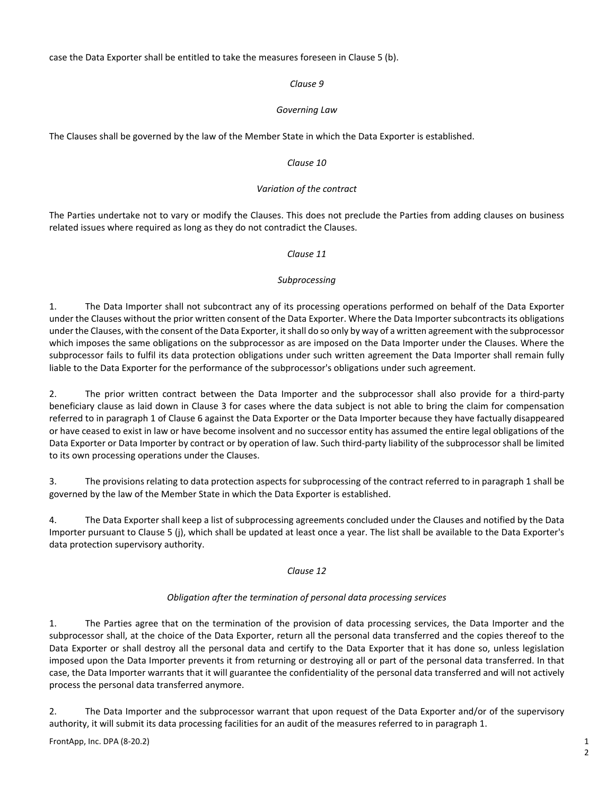case the Data Exporter shall be entitled to take the measures foreseen in Clause 5 (b).

# *Clause 9*

# *Governing Law*

The Clauses shall be governed by the law of the Member State in which the Data Exporter is established.

# *Clause 10*

# *Variation of the contract*

The Parties undertake not to vary or modify the Clauses. This does not preclude the Parties from adding clauses on business related issues where required as long as they do not contradict the Clauses.

# *Clause 11*

# *Subprocessing*

1. The Data Importer shall not subcontract any of its processing operations performed on behalf of the Data Exporter under the Clauses without the prior written consent of the Data Exporter. Where the Data Importer subcontracts its obligations under the Clauses, with the consent of the Data Exporter, it shall do so only by way of a written agreement with the subprocessor which imposes the same obligations on the subprocessor as are imposed on the Data Importer under the Clauses. Where the subprocessor fails to fulfil its data protection obligations under such written agreement the Data Importer shall remain fully liable to the Data Exporter for the performance of the subprocessor's obligations under such agreement.

2. The prior written contract between the Data Importer and the subprocessor shall also provide for a third-party beneficiary clause as laid down in Clause 3 for cases where the data subject is not able to bring the claim for compensation referred to in paragraph 1 of Clause 6 against the Data Exporter or the Data Importer because they have factually disappeared or have ceased to exist in law or have become insolvent and no successor entity has assumed the entire legal obligations of the Data Exporter or Data Importer by contract or by operation of law. Such third-party liability of the subprocessor shall be limited to its own processing operations under the Clauses.

3. The provisions relating to data protection aspects for subprocessing of the contract referred to in paragraph 1 shall be governed by the law of the Member State in which the Data Exporter is established.

4. The Data Exporter shall keep a list of subprocessing agreements concluded under the Clauses and notified by the Data Importer pursuant to Clause 5 (j), which shall be updated at least once a year. The list shall be available to the Data Exporter's data protection supervisory authority.

# *Clause 12*

# *Obligation after the termination of personal data processing services*

1. The Parties agree that on the termination of the provision of data processing services, the Data Importer and the subprocessor shall, at the choice of the Data Exporter, return all the personal data transferred and the copies thereof to the Data Exporter or shall destroy all the personal data and certify to the Data Exporter that it has done so, unless legislation imposed upon the Data Importer prevents it from returning or destroying all or part of the personal data transferred. In that case, the Data Importer warrants that it will guarantee the confidentiality of the personal data transferred and will not actively process the personal data transferred anymore.

2. The Data Importer and the subprocessor warrant that upon request of the Data Exporter and/or of the supervisory authority, it will submit its data processing facilities for an audit of the measures referred to in paragraph 1.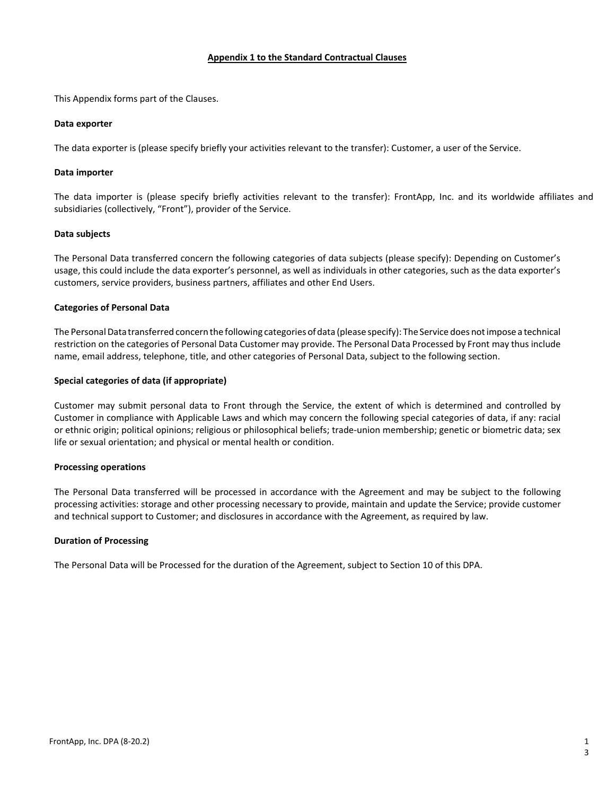### **Appendix 1 to the Standard Contractual Clauses**

This Appendix forms part of the Clauses.

#### **Data exporter**

The data exporter is (please specify briefly your activities relevant to the transfer): Customer, a user of the Service.

#### **Data importer**

The data importer is (please specify briefly activities relevant to the transfer): FrontApp, Inc. and its worldwide affiliates and subsidiaries (collectively, "Front"), provider of the Service.

#### **Data subjects**

The Personal Data transferred concern the following categories of data subjects (please specify): Depending on Customer's usage, this could include the data exporter's personnel, as well as individuals in other categories, such as the data exporter's customers, service providers, business partners, affiliates and other End Users.

#### **Categories of Personal Data**

The Personal Data transferred concern the following categories of data (please specify): The Service does not impose a technical restriction on the categories of Personal Data Customer may provide. The Personal Data Processed by Front may thus include name, email address, telephone, title, and other categories of Personal Data, subject to the following section.

### **Special categories of data (if appropriate)**

Customer may submit personal data to Front through the Service, the extent of which is determined and controlled by Customer in compliance with Applicable Laws and which may concern the following special categories of data, if any: racial or ethnic origin; political opinions; religious or philosophical beliefs; trade-union membership; genetic or biometric data; sex life or sexual orientation; and physical or mental health or condition.

### **Processing operations**

The Personal Data transferred will be processed in accordance with the Agreement and may be subject to the following processing activities: storage and other processing necessary to provide, maintain and update the Service; provide customer and technical support to Customer; and disclosures in accordance with the Agreement, as required by law.

### **Duration of Processing**

The Personal Data will be Processed for the duration of the Agreement, subject to Section 10 of this DPA.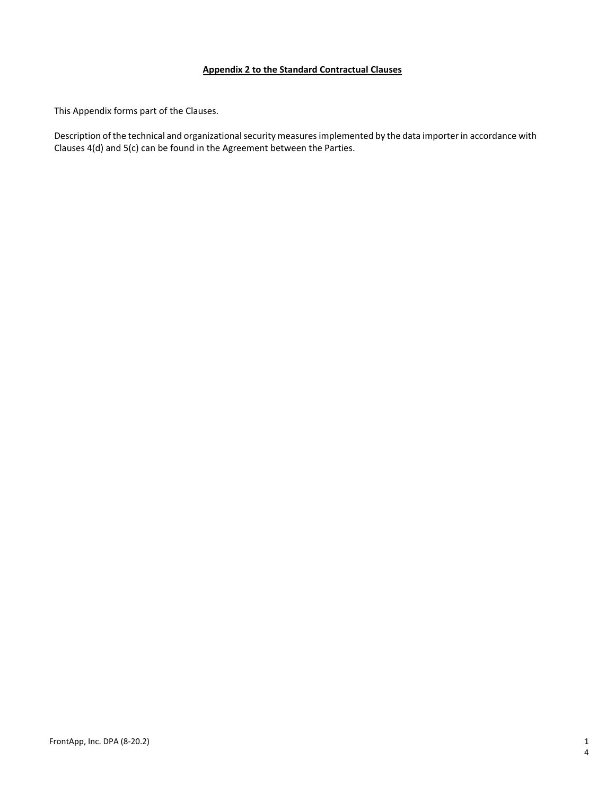# **Appendix 2 to the Standard Contractual Clauses**

This Appendix forms part of the Clauses.

Description of the technical and organizational security measures implemented by the data importer in accordance with Clauses 4(d) and 5(c) can be found in the Agreement between the Parties.